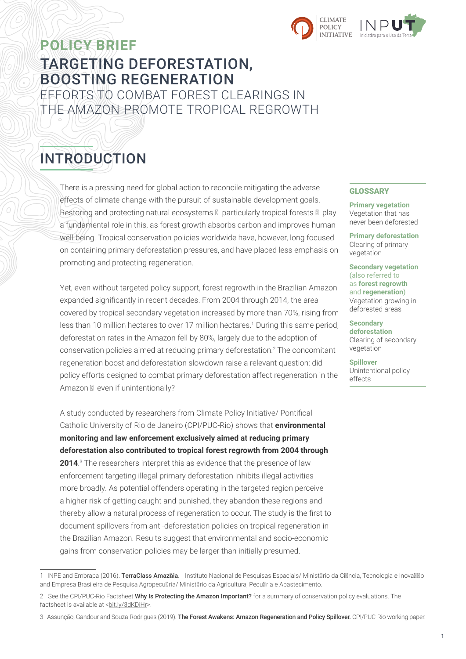

## **POLICY BRIEF** TARGETING DEFORESTATION, BOOSTING REGENERATION EFFORTS TO COMBAT FOREST CLEARINGS IN THE AMAZON PROMOTE TROPICAL REGROWTH

# INTRODUCTION

There is a pressing need for global action to reconcile mitigating the adverse effects of climate change with the pursuit of sustainable development goals. Restoring and protecting natural ecosystems – particularly tropical forests – play a fundamental role in this, as forest growth absorbs carbon and improves human well-being. Tropical conservation policies worldwide have, however, long focused on containing primary deforestation pressures, and have placed less emphasis on promoting and protecting regeneration.

Yet, even without targeted policy support, forest regrowth in the Brazilian Amazon expanded significantly in recent decades. From 2004 through 2014, the area covered by tropical secondary vegetation increased by more than 70%, rising from less than 10 million hectares to over 17 million hectares.<sup>1</sup> During this same period, deforestation rates in the Amazon fell by 80%, largely due to the adoption of conservation policies aimed at reducing primary deforestation.<sup>2</sup> The concomitant regeneration boost and deforestation slowdown raise a relevant question: did policy efforts designed to combat primary deforestation affect regeneration in the Amazon – even if unintentionally?

A study conducted by researchers from Climate Policy Initiative/ Pontifical Catholic University of Rio de Janeiro (CPI/PUC-Rio) shows that **environmental monitoring and law enforcement exclusively aimed at reducing primary deforestation also contributed to tropical forest regrowth from 2004 through 2014**. 3 The researchers interpret this as evidence that the presence of law enforcement targeting illegal primary deforestation inhibits illegal activities more broadly. As potential offenders operating in the targeted region perceive a higher risk of getting caught and punished, they abandon these regions and thereby allow a natural process of regeneration to occur. The study is the first to document spillovers from anti-deforestation policies on tropical regeneration in the Brazilian Amazon. Results suggest that environmental and socio-economic gains from conservation policies may be larger than initially presumed.

#### GLOSSARY

**Primary vegetation** Vegetation that has never been deforested

**Primary deforestation**  Clearing of primary vegetation

**Secondary vegetation**  (also referred to as **forest regrowth** and **regeneration**) Vegetation growing in deforested areas

**Secondary deforestation**  Clearing of secondary vegetation

**Spillover** Unintentional policy effects

1 INPE and Embrapa (2016). TerraClass Amazôia. Instituto Nacional de Pesquisas Espaciais/Ministério da Ciência, Tecnologia e Inovação and Empresa Brasileira de Pesquisa Agropecuária/ Ministério da Agricultura, Pecuária e Abastecimento.

<sup>2</sup> See the CPI/PUC-Rio Factsheet Why Is Protecting the Amazon Important? for a summary of conservation policy evaluations. The factsheet is available at <br/>bit.ly/3dKDiHr>.

<sup>3</sup> Assunção, Gandour and Souza-Rodrigues (2019). The Forest Awakens: Amazon Regeneration and Policy Spillover. CPI/PUC-Rio working paper.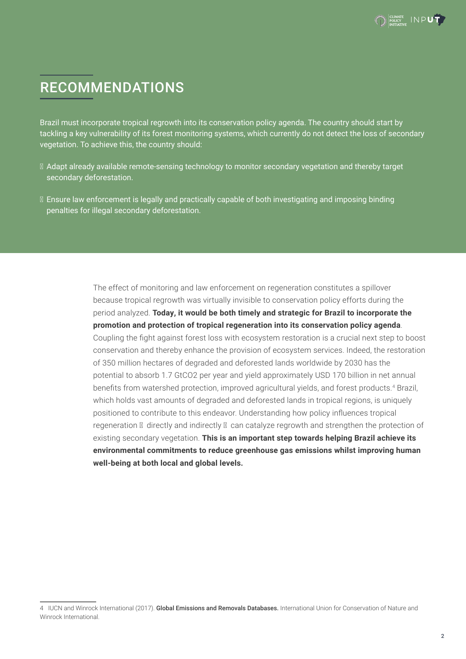# RECOMMENDATIONS

Brazil must incorporate tropical regrowth into its conservation policy agenda. The country should start by tackling a key vulnerability of its forest monitoring systems, which currently do not detect the loss of secondary vegetation. To achieve this, the country should:

- Adapt already available remote-sensing technology to monitor secondary vegetation and thereby target secondary deforestation.
- Ensure law enforcement is legally and practically capable of both investigating and imposing binding penalties for illegal secondary deforestation.

The effect of monitoring and law enforcement on regeneration constitutes a spillover because tropical regrowth was virtually invisible to conservation policy efforts during the period analyzed. **Today, it would be both timely and strategic for Brazil to incorporate the promotion and protection of tropical regeneration into its conservation policy agenda**. Coupling the fight against forest loss with ecosystem restoration is a crucial next step to boost conservation and thereby enhance the provision of ecosystem services. Indeed, the restoration of 350 million hectares of degraded and deforested lands worldwide by 2030 has the potential to absorb 1.7 GtCO2 per year and yield approximately USD 170 billion in net annual benefits from watershed protection, improved agricultural yields, and forest products.<sup>4</sup> Brazil, which holds vast amounts of degraded and deforested lands in tropical regions, is uniquely positioned to contribute to this endeavor. Understanding how policy influences tropical regeneration – directly and indirectly – can catalyze regrowth and strengthen the protection of existing secondary vegetation. **This is an important step towards helping Brazil achieve its environmental commitments to reduce greenhouse gas emissions whilst improving human well-being at both local and global levels.**

<sup>4</sup> IUCN and Winrock International (2017). Global Emissions and Removals Databases. International Union for Conservation of Nature and Winrock International.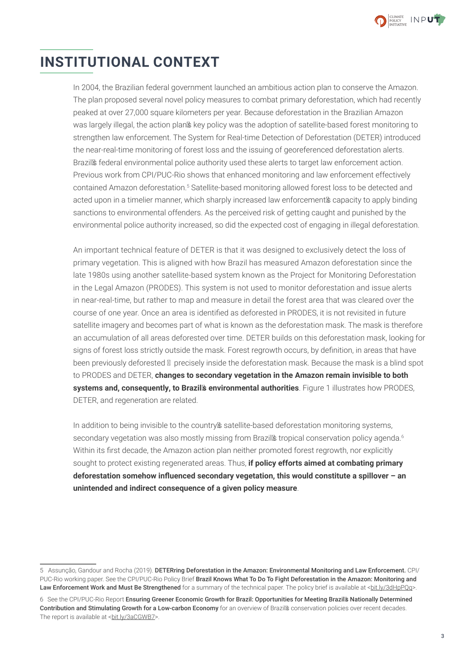

# **INSTITUTIONAL CONTEXT**

In 2004, the Brazilian federal government launched an ambitious action plan to conserve the Amazon. The plan proposed several novel policy measures to combat primary deforestation, which had recently peaked at over 27,000 square kilometers per year. Because deforestation in the Brazilian Amazon was largely illegal, the action plan's key policy was the adoption of satellite-based forest monitoring to strengthen law enforcement. The System for Real-time Detection of Deforestation (DETER) introduced the near-real-time monitoring of forest loss and the issuing of georeferenced deforestation alerts. Brazil's federal environmental police authority used these alerts to target law enforcement action. Previous work from CPI/PUC-Rio shows that enhanced monitoring and law enforcement effectively contained Amazon deforestation.<sup>5</sup> Satellite-based monitoring allowed forest loss to be detected and acted upon in a timelier manner, which sharply increased law enforcement's capacity to apply binding sanctions to environmental offenders. As the perceived risk of getting caught and punished by the environmental police authority increased, so did the expected cost of engaging in illegal deforestation.

An important technical feature of DETER is that it was designed to exclusively detect the loss of primary vegetation. This is aligned with how Brazil has measured Amazon deforestation since the late 1980s using another satellite-based system known as the Project for Monitoring Deforestation in the Legal Amazon (PRODES). This system is not used to monitor deforestation and issue alerts in near-real-time, but rather to map and measure in detail the forest area that was cleared over the course of one year. Once an area is identified as deforested in PRODES, it is not revisited in future satellite imagery and becomes part of what is known as the deforestation mask. The mask is therefore an accumulation of all areas deforested over time. DETER builds on this deforestation mask, looking for signs of forest loss strictly outside the mask. Forest regrowth occurs, by definition, in areas that have been previously deforested – precisely inside the deforestation mask. Because the mask is a blind spot to PRODES and DETER, **changes to secondary vegetation in the Amazon remain invisible to both systems and, consequently, to Brazil's environmental authorities**. Figure 1 illustrates how PRODES, DETER, and regeneration are related.

In addition to being invisible to the country's satellite-based deforestation monitoring systems, secondary vegetation was also mostly missing from Brazil's tropical conservation policy agenda.<sup>6</sup> Within its first decade, the Amazon action plan neither promoted forest regrowth, nor explicitly sought to protect existing regenerated areas. Thus, **if policy efforts aimed at combating primary deforestation somehow influenced secondary vegetation, this would constitute a spillover – an unintended and indirect consequence of a given policy measure**.

<sup>5</sup> Assunção, Gandour and Rocha (2019). DETERring Deforestation in the Amazon: Environmental Monitoring and Law Enforcement. CPI/ PUC-Rio working paper. See the CPI/PUC-Rio Policy Brief Brazil Knows What To Do To Fight Deforestation in the Amazon: Monitoring and Law Enforcement Work and Must Be Strengthened for a summary of the technical paper. The policy brief is available at <br >[bit.ly/3dHpPQq>](https://bit.ly/3dHpPQq).

<sup>6</sup> See the CPI/PUC-Rio Report Ensuring Greener Economic Growth for Brazil: Opportunities for Meeting Brazil's Nationally Determined Contribution and Stimulating Growth for a Low-carbon Economy for an overview of Brazil's conservation policies over recent decades. The report is available at <br/>[bit.ly/3aCGWB7>](https://bit.ly/3aCGWB7).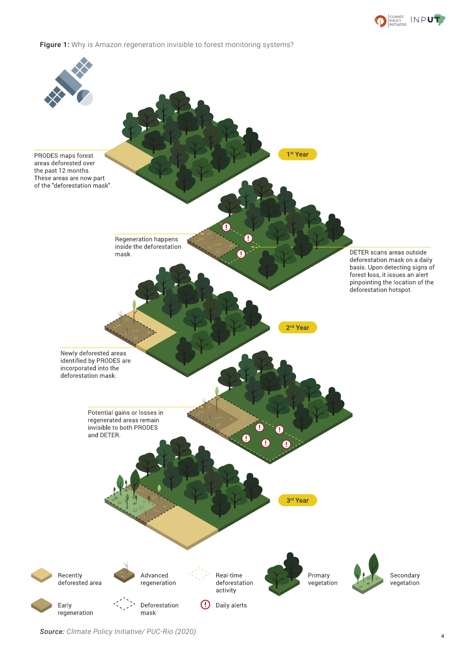





*Source: Climate Policy Initiative/ PUC-Rio (2020).* <sup>4</sup>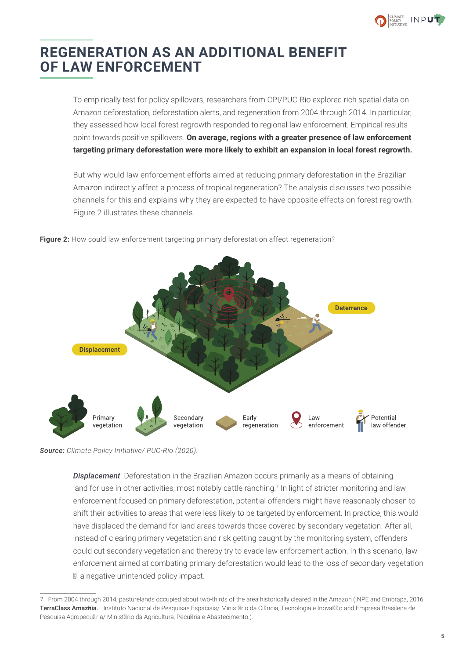

# **REGENERATION AS AN ADDITIONAL BENEFIT OF LAW ENFORCEMENT**

To empirically test for policy spillovers, researchers from CPI/PUC-Rio explored rich spatial data on Amazon deforestation, deforestation alerts, and regeneration from 2004 through 2014. In particular, they assessed how local forest regrowth responded to regional law enforcement. Empirical results point towards positive spillovers. **On average, regions with a greater presence of law enforcement targeting primary deforestation were more likely to exhibit an expansion in local forest regrowth.** 

But why would law enforcement efforts aimed at reducing primary deforestation in the Brazilian Amazon indirectly affect a process of tropical regeneration? The analysis discusses two possible channels for this and explains why they are expected to have opposite effects on forest regrowth. Figure 2 illustrates these channels.



**Figure 2:** How could law enforcement targeting primary deforestation affect regeneration?

*Source: Climate Policy Initiative/ PUC-Rio (2020).*

*Displacement* Deforestation in the Brazilian Amazon occurs primarily as a means of obtaining land for use in other activities, most notably cattle ranching.<sup>7</sup> In light of stricter monitoring and law enforcement focused on primary deforestation, potential offenders might have reasonably chosen to shift their activities to areas that were less likely to be targeted by enforcement. In practice, this would have displaced the demand for land areas towards those covered by secondary vegetation. After all, instead of clearing primary vegetation and risk getting caught by the monitoring system, offenders could cut secondary vegetation and thereby try to evade law enforcement action. In this scenario, law enforcement aimed at combating primary deforestation would lead to the loss of secondary vegetation – a negative unintended policy impact.

<sup>7</sup> From 2004 through 2014, pasturelands occupied about two-thirds of the area historically cleared in the Amazon (INPE and Embrapa, 2016. TerraClass Amazôia. Instituto Nacional de Pesquisas Espaciais/ Ministério da Ciência, Tecnologia e Inovação and Empresa Brasileira de Pesquisa Agropecuária/ Ministério da Agricultura, Pecuária e Abastecimento.).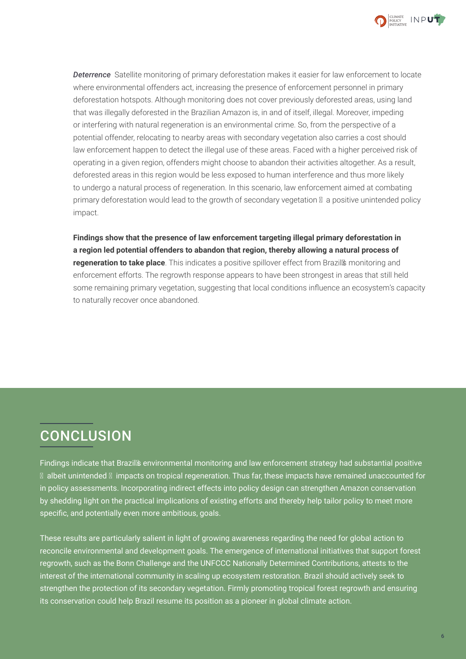

*Deterrence* Satellite monitoring of primary deforestation makes it easier for law enforcement to locate where environmental offenders act, increasing the presence of enforcement personnel in primary deforestation hotspots. Although monitoring does not cover previously deforested areas, using land that was illegally deforested in the Brazilian Amazon is, in and of itself, illegal. Moreover, impeding or interfering with natural regeneration is an environmental crime. So, from the perspective of a potential offender, relocating to nearby areas with secondary vegetation also carries a cost should law enforcement happen to detect the illegal use of these areas. Faced with a higher perceived risk of operating in a given region, offenders might choose to abandon their activities altogether. As a result, deforested areas in this region would be less exposed to human interference and thus more likely to undergo a natural process of regeneration. In this scenario, law enforcement aimed at combating primary deforestation would lead to the growth of secondary vegetation – a positive unintended policy impact.

**Findings show that the presence of law enforcement targeting illegal primary deforestation in a region led potential offenders to abandon that region, thereby allowing a natural process of regeneration to take place**. This indicates a positive spillover effect from Brazil's monitoring and enforcement efforts. The regrowth response appears to have been strongest in areas that still held some remaining primary vegetation, suggesting that local conditions influence an ecosystem's capacity to naturally recover once abandoned.

# **CONCLUSION**

Findings indicate that Brazil's environmental monitoring and law enforcement strategy had substantial positive – albeit unintended – impacts on tropical regeneration. Thus far, these impacts have remained unaccounted for in policy assessments. Incorporating indirect effects into policy design can strengthen Amazon conservation by shedding light on the practical implications of existing efforts and thereby help tailor policy to meet more specific, and potentially even more ambitious, goals.

These results are particularly salient in light of growing awareness regarding the need for global action to reconcile environmental and development goals. The emergence of international initiatives that support forest regrowth, such as the Bonn Challenge and the UNFCCC Nationally Determined Contributions, attests to the interest of the international community in scaling up ecosystem restoration. Brazil should actively seek to strengthen the protection of its secondary vegetation. Firmly promoting tropical forest regrowth and ensuring its conservation could help Brazil resume its position as a pioneer in global climate action.